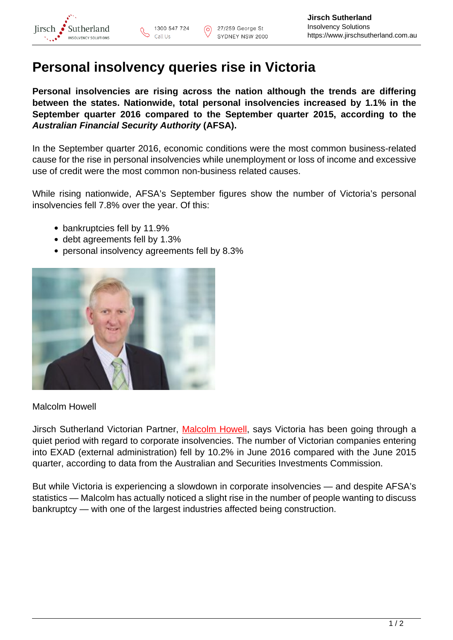

## **Personal insolvency queries rise in Victoria**

**Personal insolvencies are rising across the nation although the trends are differing between the states. Nationwide, total personal insolvencies increased by 1.1% in the September quarter 2016 compared to the September quarter 2015, according to the Australian Financial Security Authority (AFSA).**

In the September quarter 2016, economic conditions were the most common business-related cause for the rise in personal insolvencies while unemployment or loss of income and excessive use of credit were the most common non-business related causes.

While rising nationwide, AFSA's September figures show the number of Victoria's personal insolvencies fell 7.8% over the year. Of this:

- bankruptcies fell by 11.9%
- debt agreements fell by 1.3%
- personal insolvency agreements fell by 8.3%



## Malcolm Howell

Jirsch Sutherland Victorian Partner, [Malcolm Howell,](https://www.jirschsutherland.com.au/people/malcolm-howell/) says Victoria has been going through a quiet period with regard to corporate insolvencies. The number of Victorian companies entering into EXAD (external administration) fell by 10.2% in June 2016 compared with the June 2015 quarter, according to data from the Australian and Securities Investments Commission.

But while Victoria is experiencing a slowdown in corporate insolvencies — and despite AFSA's statistics — Malcolm has actually noticed a slight rise in the number of people wanting to discuss bankruptcy — with one of the largest industries affected being construction.